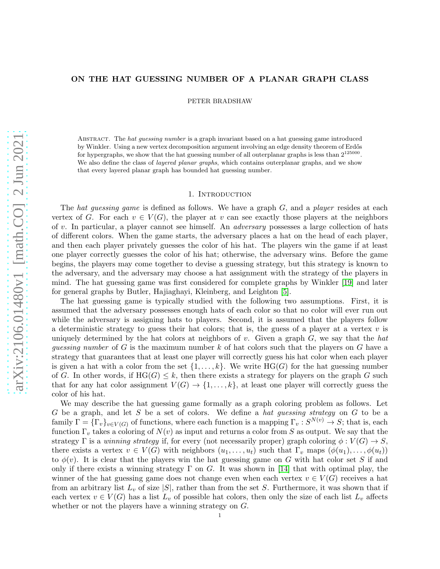# ON THE HAT GUESSING NUMBER OF A PLANAR GRAPH CLASS

PETER BRADSHAW

Abstract. The *hat guessing number* is a graph invariant based on a hat guessing game introduced by Winkler. Using a new vertex decomposition argument involving an edge density theorem of Erdős for hypergraphs, we show that the hat guessing number of all outerplanar graphs is less than  $2^{125000}$ . We also define the class of *layered planar graphs*, which contains outerplanar graphs, and we show that every layered planar graph has bounded hat guessing number.

## 1. INTRODUCTION

The hat guessing game is defined as follows. We have a graph  $G$ , and a player resides at each vertex of G. For each  $v \in V(G)$ , the player at v can see exactly those players at the neighbors of v. In particular, a player cannot see himself. An *adversary* possesses a large collection of hats of different colors. When the game starts, the adversary places a hat on the head of each player, and then each player privately guesses the color of his hat. The players win the game if at least one player correctly guesses the color of his hat; otherwise, the adversary wins. Before the game begins, the players may come together to devise a guessing strategy, but this strategy is known to the adversary, and the adversary may choose a hat assignment with the strategy of the players in mind. The hat guessing game was first considered for complete graphs by Winkler [\[19\]](#page-12-0) and later for general graphs by Butler, Hajiaghayi, Kleinberg, and Leighton [\[5\]](#page-12-1).

The hat guessing game is typically studied with the following two assumptions. First, it is assumed that the adversary possesses enough hats of each color so that no color will ever run out while the adversary is assigning hats to players. Second, it is assumed that the players follow a deterministic strategy to guess their hat colors; that is, the guess of a player at a vertex  $v$  is uniquely determined by the hat colors at neighbors of v. Given a graph  $G$ , we say that the hat guessing number of G is the maximum number  $k$  of hat colors such that the players on G have a strategy that guarantees that at least one player will correctly guess his hat color when each player is given a hat with a color from the set  $\{1, \ldots, k\}$ . We write  $HG(G)$  for the hat guessing number of G. In other words, if  $HG(G) \leq k$ , then there exists a strategy for players on the graph G such that for any hat color assignment  $V(G) \to \{1, \ldots, k\}$ , at least one player will correctly guess the color of his hat.

We may describe the hat guessing game formally as a graph coloring problem as follows. Let G be a graph, and let S be a set of colors. We define a hat guessing strategy on G to be a family  $\Gamma = {\{\Gamma_v\}}_{v \in V(G)}$  of functions, where each function is a mapping  $\Gamma_v : S^{N(v)} \to S$ ; that is, each function  $\Gamma_v$  takes a coloring of  $N(v)$  as input and returns a color from S as output. We say that the strategy Γ is a winning strategy if, for every (not necessarily proper) graph coloring  $\phi: V(G) \to S$ , there exists a vertex  $v \in V(G)$  with neighbors  $(u_1, \ldots, u_t)$  such that  $\Gamma_v$  maps  $(\phi(u_1), \ldots, \phi(u_t))$ to  $\phi(v)$ . It is clear that the players win the hat guessing game on G with hat color set S if and only if there exists a winning strategy  $\Gamma$  on G. It was shown in [\[14\]](#page-12-2) that with optimal play, the winner of the hat guessing game does not change even when each vertex  $v \in V(G)$  receives a hat from an arbitrary list  $L_v$  of size |S|, rather than from the set S. Furthermore, it was shown that if each vertex  $v \in V(G)$  has a list  $L_v$  of possible hat colors, then only the size of each list  $L_v$  affects whether or not the players have a winning strategy on G.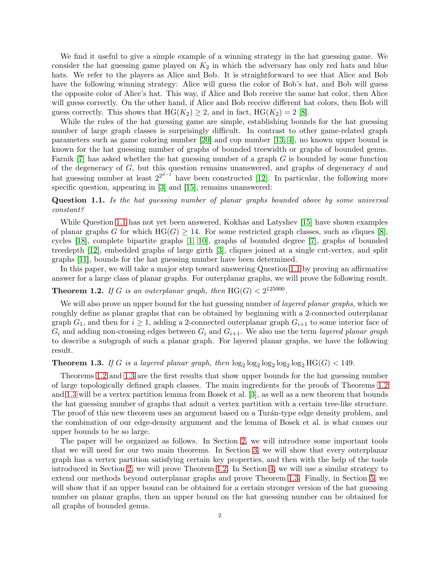We find it useful to give a simple example of a winning strategy in the hat guessing game. We consider the hat guessing game played on  $K_2$  in which the adversary has only red hats and blue hats. We refer to the players as Alice and Bob. It is straightforward to see that Alice and Bob have the following winning strategy: Alice will guess the color of Bob's hat, and Bob will guess the opposite color of Alice's hat. This way, if Alice and Bob receive the same hat color, then Alice will guess correctly. On the other hand, if Alice and Bob receive different hat colors, then Bob will guess correctly. This shows that  $HG(K_2) \geq 2$ , and in fact,  $HG(K_2) = 2$  [\[8\]](#page-12-3).

While the rules of the hat guessing game are simple, establishing bounds for the hat guessing number of large graph classes is surprisingly difficult. In contrast to other game-related graph parameters such as game coloring number [\[20\]](#page-12-4) and cop number [\[13,](#page-12-5) [4\]](#page-12-6), no known upper bound is known for the hat guessing number of graphs of bounded treewidth or graphs of bounded genus. Farnik [\[7\]](#page-12-7) has asked whether the hat guessing number of a graph G is bounded by some function of the degeneracy of  $G$ , but this question remains unanswered, and graphs of degeneracy  $d$  and hat guessing number at least  $2^{2^{d-1}}$  have been constructed [\[12\]](#page-12-8). In particular, the following more specific question, appearing in [\[3\]](#page-12-9) and [\[15\]](#page-12-10), remains unanswered:

# <span id="page-1-0"></span>Question 1.1. Is the hat guessing number of planar graphs bounded above by some universal constant?

While Question [1.1](#page-1-0) has not yet been answered, Kokhas and Latyshev [\[15\]](#page-12-10) have shown examples of planar graphs G for which  $HG(G) \geq 14$ . For some restricted graph classes, such as cliques [\[8\]](#page-12-3). cycles [\[18\]](#page-12-11), complete bipartite graphs [\[1,](#page-12-12) [10\]](#page-12-13), graphs of bounded degree [\[7\]](#page-12-7), graphs of bounded treedepth [\[12\]](#page-12-8), embedded graphs of large girth [\[3\]](#page-12-9), cliques joined at a single cut-vertex, and split graphs [\[11\]](#page-12-14), bounds for the hat guessing number have been determined.

In this paper, we will take a major step toward answering Question [1.1](#page-1-0) by proving an affirmative answer for a large class of planar graphs. For outerplanar graphs, we will prove the following result.

# <span id="page-1-1"></span>**Theorem 1.2.** If G is an outerplanar graph, then  $HG(G) < 2^{125000}$ .

We will also prove an upper bound for the hat guessing number of *layered planar graphs*, which we roughly define as planar graphs that can be obtained by beginning with a 2-connected outerplanar graph  $G_1$ , and then for  $i \geq 1$ , adding a 2-connected outerplanar graph  $G_{i+1}$  to some interior face of  $G_i$  and adding non-crossing edges between  $G_i$  and  $G_{i+1}$ . We also use the term *layered planar graph* to describe a subgraph of such a planar graph. For layered planar graphs, we have the following result.

# <span id="page-1-2"></span>**Theorem 1.3.** If G is a layered planar graph, then  $\log_2 \log_2 \log_2 \log_2 \log_2 H G(G) < 149$ .

Theorems [1.2](#page-1-1) and [1.3](#page-1-2) are the first results that show upper bounds for the hat guessing number of large topologically defined graph classes. The main ingredients for the proofs of Theorems [1.2](#page-1-1) and [1.3](#page-1-2) will be a vertex partition lemma from Bosek et al. [\[3\]](#page-12-9), as well as a new theorem that bounds the hat guessing number of graphs that admit a vertex partition with a certain tree-like structure. The proof of this new theorem uses an argument based on a Turan-type edge density problem, and the combination of our edge-density argument and the lemma of Bosek et al. is what causes our upper bounds to be so large.

The paper will be organized as follows. In Section [2,](#page-2-0) we will introduce some important tools that we will need for our two main theorems. In Section [3,](#page-5-0) we will show that every outerplanar graph has a vertex partition satisfying certain key properties, and then with the help of the tools introduced in Section [2,](#page-2-0) we will prove Theorem [1.2.](#page-1-1) In Section [4,](#page-8-0) we will use a similar strategy to extend our methods beyond outerplanar graphs and prove Theorem [1.3.](#page-1-2) Finally, in Section [5,](#page-10-0) we will show that if an upper bound can be obtained for a certain stronger version of the hat guessing number on planar graphs, then an upper bound on the hat guessing number can be obtained for all graphs of bounded genus.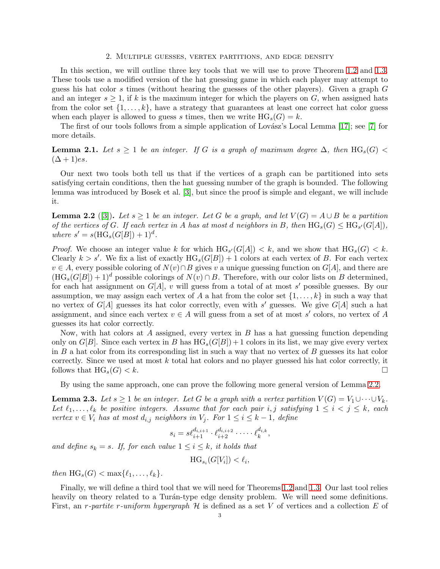#### 2. Multiple guesses, vertex partitions, and edge density

<span id="page-2-0"></span>In this section, we will outline three key tools that we will use to prove Theorem [1.2](#page-1-1) and [1.3.](#page-1-2) These tools use a modified version of the hat guessing game in which each player may attempt to guess his hat color s times (without hearing the guesses of the other players). Given a graph  $G$ and an integer  $s \geq 1$ , if k is the maximum integer for which the players on G, when assigned hats from the color set  $\{1, \ldots, k\}$ , have a strategy that guarantees at least one correct hat color guess when each player is allowed to guess s times, then we write  $HG_s(G) = k$ .

The first of our tools follows from a simple application of Lovász's Local Lemma [\[17\]](#page-12-15); see [\[7\]](#page-12-7) for more details.

<span id="page-2-3"></span>**Lemma 2.1.** Let  $s \geq 1$  be an integer. If G is a graph of maximum degree  $\Delta$ , then  $HG_s(G)$  <  $(\Delta + 1)$ es.

Our next two tools both tell us that if the vertices of a graph can be partitioned into sets satisfying certain conditions, then the hat guessing number of the graph is bounded. The following lemma was introduced by Bosek et al. [\[3\]](#page-12-9), but since the proof is simple and elegant, we will include it.

<span id="page-2-1"></span>**Lemma 2.2** ([\[3\]](#page-12-9)). Let  $s \geq 1$  be an integer. Let G be a graph, and let  $V(G) = A \cup B$  be a partition of the vertices of G. If each vertex in A has at most d neighbors in B, then  $HG_s(G) \leq HG_{s'}(G[A]),$ where  $s' = s(\text{HG}_s(G[B]) + 1)^d$ .

*Proof.* We choose an integer value k for which  $\text{HG}_{s'}(G[A]) < k$ , and we show that  $\text{HG}_{s}(G) < k$ . Clearly  $k > s'$ . We fix a list of exactly  $HG_s(G[B]) + 1$  colors at each vertex of B. For each vertex  $v \in A$ , every possible coloring of  $N(v) \cap B$  gives v a unique guessing function on  $G[A]$ , and there are  $(HG_s(G|B)) + 1)^d$  possible colorings of  $N(v) \cap B$ . Therefore, with our color lists on B determined, for each hat assignment on  $G[A], v$  will guess from a total of at most s' possible guesses. By our assumption, we may assign each vertex of A a hat from the color set  $\{1, \ldots, k\}$  in such a way that no vertex of  $G[A]$  guesses its hat color correctly, even with s' guesses. We give  $G[A]$  such a hat assignment, and since each vertex  $v \in A$  will guess from a set of at most s' colors, no vertex of A guesses its hat color correctly.

Now, with hat colors at A assigned, every vertex in B has a hat guessing function depending only on  $G[B]$ . Since each vertex in B has  $HG_s(G[B]) + 1$  colors in its list, we may give every vertex in  $B$  a hat color from its corresponding list in such a way that no vertex of  $B$  guesses its hat color correctly. Since we used at most  $k$  total hat colors and no player guessed his hat color correctly, it follows that  $\text{HG}_s(G) < k$ .

By using the same approach, one can prove the following more general version of Lemma [2.2.](#page-2-1)

<span id="page-2-2"></span>**Lemma 2.3.** Let  $s \geq 1$  be an integer. Let G be a graph with a vertex partition  $V(G) = V_1 \cup \cdots \cup V_k$ . Let  $\ell_1, \ldots, \ell_k$  be positive integers. Assume that for each pair i, j satisfying  $1 \leq i \leq j \leq k$ , each vertex  $v \in V_i$  has at most  $d_{i,j}$  neighbors in  $V_j$ . For  $1 \leq i \leq k-1$ , define

$$
s_i = s\ell_{i+1}^{d_{i,i+1}} \cdot \ell_{i+2}^{d_{i,i+2}} \cdot \dots \cdot \ell_k^{d_{i,k}},
$$

and define  $s_k = s$ . If, for each value  $1 \leq i \leq k$ , it holds that

$$
\text{HG}_{s_i}(G[V_i]) < \ell_i,
$$

then  $\text{HG}_s(G) < \max\{\ell_1,\ldots,\ell_k\}.$ 

Finally, we will define a third tool that we will need for Theorems [1.2](#page-1-1) and [1.3.](#page-1-2) Our last tool relies heavily on theory related to a Turán-type edge density problem. We will need some definitions. First, an r-partite r-uniform hypergraph  $H$  is defined as a set V of vertices and a collection E of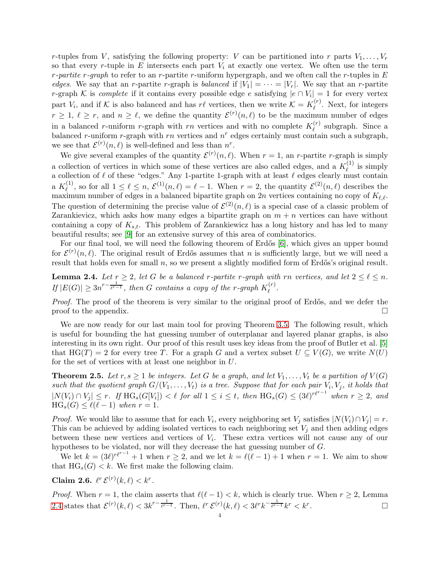r-tuples from V, satisfying the following property: V can be partitioned into r parts  $V_1, \ldots, V_r$ so that every r-tuple in E intersects each part  $V_i$  at exactly one vertex. We often use the term r-partite r-graph to refer to an r-partite r-uniform hypergraph, and we often call the r-tuples in  $E$ edges. We say that an r-partite r-graph is balanced if  $|V_1| = \cdots = |V_r|$ . We say that an r-partite r-graph K is *complete* if it contains every possible edge e satisfying  $|e \cap V_i| = 1$  for every vertex part  $V_i$ , and if K is also balanced and has r $\ell$  vertices, then we write  $\mathcal{K} = K_{\ell}^{(r)}$  $\ell^{(r)}$ . Next, for integers  $r \geq 1, \ell \geq r$ , and  $n \geq \ell$ , we define the quantity  $\mathcal{E}^{(r)}(n,\ell)$  to be the maximum number of edges in a balanced r-uniform r-graph with rn vertices and with no complete  $K_{\ell}^{(r)}$  $\ell^{(r)}$  subgraph. Since a balanced r-uniform r-graph with rn vertices and  $n^r$  edges certainly must contain such a subgraph, we see that  $\mathcal{E}^{(r)}(n,\ell)$  is well-defined and less than  $n^r$ .

We give several examples of the quantity  $\mathcal{E}^{(r)}(n,\ell)$ . When  $r=1$ , an r-partite r-graph is simply a collection of vertices in which some of these vertices are also called edges, and a  $K_{\ell}^{(1)}$  $\ell^{(1)}$  is simply a collection of  $\ell$  of these "edges." Any 1-partite 1-graph with at least  $\ell$  edges clearly must contain a  $K_{\ell}^{(1)}$ <sup>(1)</sup>, so for all  $1 \leq \ell \leq n$ ,  $\mathcal{E}^{(1)}(n,\ell) = \ell - 1$ . When  $r = 2$ , the quantity  $\mathcal{E}^{(2)}(n,\ell)$  describes the maximum number of edges in a balanced bipartite graph on 2n vertices containing no copy of  $K_{\ell,\ell}$ . The question of determining the precise value of  $\mathcal{E}^{(2)}(n,\ell)$  is a special case of a classic problem of Zarankievicz, which asks how many edges a bipartite graph on  $m + n$  vertices can have without containing a copy of  $K_{s,t}$ . This problem of Zarankiewicz has a long history and has led to many beautiful results; see [\[9\]](#page-12-16) for an extensive survey of this area of combinatorics.

For our final tool, we will need the following theorem of Erdős [\[6\]](#page-12-17), which gives an upper bound for  $\mathcal{E}^{(r)}(n,\ell)$ . The original result of Erdős assumes that n is sufficiently large, but we will need a result that holds even for small  $n$ , so we present a slightly modified form of Erdős's original result.

<span id="page-3-0"></span>**Lemma 2.4.** Let  $r \geq 2$ , let G be a balanced r-partite r-graph with rn vertices, and let  $2 \leq \ell \leq n$ . If  $|E(G)| \geq 3n^{r-\frac{1}{\ell^{r-1}}}$ , then G contains a copy of the r-graph  $K_{\ell}^{(r)}$  $\ell^{(r)}$ .

Proof. The proof of the theorem is very similar to the original proof of Erdős, and we defer the proof to the appendix.  $\Box$ 

We are now ready for our last main tool for proving Theorem [3.5.](#page-7-0) The following result, which is useful for bounding the hat guessing number of outerplanar and layered planar graphs, is also interesting in its own right. Our proof of this result uses key ideas from the proof of Butler et al. [\[5\]](#page-12-1) that HG(T) = 2 for every tree T. For a graph G and a vertex subset  $U \subseteq V(G)$ , we write  $N(U)$ for the set of vertices with at least one neighbor in U.

<span id="page-3-1"></span>**Theorem 2.5.** Let  $r, s \geq 1$  be integers. Let G be a graph, and let  $V_1, \ldots, V_t$  be a partition of  $V(G)$ such that the quotient graph  $G/(V_1,\ldots,V_t)$  is a tree. Suppose that for each pair  $V_i, V_j$ , it holds that  $|N(V_i) \cap V_j| \leq r$ . If  $\text{HG}_s(G[V_i]) < \ell$  for all  $1 \leq i \leq t$ , then  $\text{HG}_s(G) \leq (3\ell)^{r\ell^{r-1}}$  when  $r \geq 2$ , and  $HG_s(G) \leq \ell(\ell-1)$  when  $r=1$ .

*Proof.* We would like to assume that for each  $V_i$ , every neighboring set  $V_j$  satisfies  $|N(V_i) \cap V_j| = r$ . This can be achieved by adding isolated vertices to each neighboring set  $V_j$  and then adding edges between these new vertices and vertices of  $V_i$ . These extra vertices will not cause any of our hypotheses to be violated, nor will they decrease the hat guessing number of G.

We let  $k = (3\ell)^{r\ell^{r-1}} + 1$  when  $r \geq 2$ , and we let  $k = \ell(\ell-1) + 1$  when  $r = 1$ . We aim to show that  $HG_s(G) < k$ . We first make the following claim.

Claim 2.6.  $\ell^r \mathcal{E}^{(r)}(k,\ell) < k^r$ .

*Proof.* When  $r = 1$ , the claim asserts that  $\ell(\ell-1) < k$ , which is clearly true. When  $r \geq 2$ , Lemma [2.4](#page-3-0) states that  $\mathcal{E}^{(r)}(k,\ell) < 3k^{r-\frac{1}{\ell^{r-1}}}$ . Then,  $\ell^{r} \mathcal{E}^{(r)}(k,\ell) < 3\ell^{r}k^{-\frac{1}{\ell^{r-1}}}k^{r} < k^{r}$ .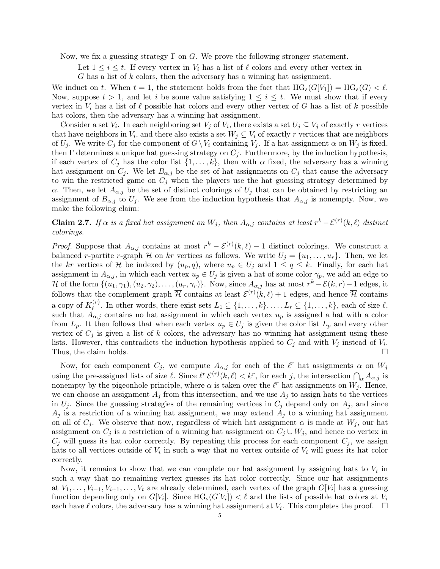Now, we fix a guessing strategy  $\Gamma$  on G. We prove the following stronger statement.

Let  $1 \leq i \leq t$ . If every vertex in  $V_i$  has a list of  $\ell$  colors and every other vertex in

 $G$  has a list of  $k$  colors, then the adversary has a winning hat assignment.

We induct on t. When  $t = 1$ , the statement holds from the fact that  $HG_s(G[V_1]) = HG_s(G) < \ell$ . Now, suppose  $t > 1$ , and let i be some value satisfying  $1 \leq i \leq t$ . We must show that if every vertex in  $V_i$  has a list of  $\ell$  possible hat colors and every other vertex of G has a list of k possible hat colors, then the adversary has a winning hat assignment.

Consider a set  $V_i$ . In each neighboring set  $V_j$  of  $V_i$ , there exists a set  $U_j \subseteq V_j$  of exactly r vertices that have neighbors in  $V_i$ , and there also exists a set  $W_j \subseteq V_i$  of exactly r vertices that are neighbors of  $U_j$ . We write  $C_j$  for the component of  $G\setminus V_i$  containing  $V_j$ . If a hat assignment  $\alpha$  on  $W_j$  is fixed, then  $\Gamma$  determines a unique hat guessing strategy on  $C_i$ . Furthermore, by the induction hypothesis, if each vertex of  $C_j$  has the color list  $\{1, \ldots, k\}$ , then with  $\alpha$  fixed, the adversary has a winning hat assignment on  $C_i$ . We let  $B_{\alpha,i}$  be the set of hat assignments on  $C_i$  that cause the adversary to win the restricted game on  $C_i$  when the players use the hat guessing strategy determined by α. Then, we let  $A_{\alpha,i}$  be the set of distinct colorings of  $U_i$  that can be obtained by restricting an assignment of  $B_{\alpha,j}$  to  $U_j$ . We see from the induction hypothesis that  $A_{\alpha,j}$  is nonempty. Now, we make the following claim:

**Claim 2.7.** If  $\alpha$  is a fixed hat assignment on  $W_j$ , then  $A_{\alpha,j}$  contains at least  $r^k - \mathcal{E}^{(r)}(k,\ell)$  distinct colorings.

*Proof.* Suppose that  $A_{\alpha,j}$  contains at most  $r^k - \mathcal{E}^{(r)}(k,\ell) - 1$  distinct colorings. We construct a balanced r-partite r-graph H on kr vertices as follows. We write  $U_j = \{u_1, \ldots, u_r\}$ . Then, we let the kr vertices of H be indexed by  $(u_p, q)$ , where  $u_p \in U_j$  and  $1 \le q \le k$ . Finally, for each hat assignment in  $A_{\alpha,j}$ , in which each vertex  $u_p \in U_j$  is given a hat of some color  $\gamma_p$ , we add an edge to H of the form  $\{(u_1, \gamma_1), (u_2, \gamma_2), \ldots, (u_r, \gamma_r)\}\)$ . Now, since  $A_{\alpha,j}$  has at most  $r^k - \mathcal{E}(k,r) - 1$  edges, it follows that the complement graph  $\overline{\mathcal{H}}$  contains at least  $\mathcal{E}^{(r)}(k,\ell) + 1$  edges, and hence  $\overline{\mathcal{H}}$  contains a copy of  $K_{\ell}^{(r)}$ <sup>(r)</sup>. In other words, there exist sets  $L_1 \subseteq \{1, \ldots, k\}, \ldots, L_r \subseteq \{1, \ldots, k\}$ , each of size  $\ell$ , such that  $A_{\alpha,j}$  contains no hat assignment in which each vertex  $u_p$  is assigned a hat with a color from  $L_p$ . It then follows that when each vertex  $u_p \in U_j$  is given the color list  $L_p$  and every other vertex of  $C_j$  is given a list of k colors, the adversary has no winning hat assignment using these lists. However, this contradicts the induction hypothesis applied to  $C_j$  and with  $V_j$  instead of  $V_i$ . Thus, the claim holds.  $\square$ 

Now, for each component  $C_j$ , we compute  $A_{\alpha,j}$  for each of the  $\ell^r$  hat assignments  $\alpha$  on  $W_j$ using the pre-assigned lists of size  $\ell$ . Since  $\ell^r \mathcal{E}^{(r)}(k,\ell) < k^r$ , for each j, the intersection  $\bigcap_{\alpha} A_{\alpha,j}$  is nonempty by the pigeonhole principle, where  $\alpha$  is taken over the  $\ell^r$  hat assignments on  $W_j$ . Hence, we can choose an assignment  $A_j$  from this intersection, and we use  $A_j$  to assign hats to the vertices in  $U_i$ . Since the guessing strategies of the remaining vertices in  $C_i$  depend only on  $A_i$ , and since  $A_j$  is a restriction of a winning hat assignment, we may extend  $A_j$  to a winning hat assignment on all of  $C_i$ . We observe that now, regardless of which hat assignment  $\alpha$  is made at  $W_i$ , our hat assignment on  $C_j$  is a restriction of a winning hat assignment on  $C_j \cup W_j$ , and hence no vertex in  $C_j$  will guess its hat color correctly. By repeating this process for each component  $C_j$ , we assign hats to all vertices outside of  $V_i$  in such a way that no vertex outside of  $V_i$  will guess its hat color correctly.

Now, it remains to show that we can complete our hat assignment by assigning hats to  $V_i$  in such a way that no remaining vertex guesses its hat color correctly. Since our hat assignments at  $V_1, \ldots, V_{i-1}, V_{i+1}, \ldots, V_t$  are already determined, each vertex of the graph  $G[V_i]$  has a guessing function depending only on  $G[V_i]$ . Since  $HG_s(G[V_i]) < \ell$  and the lists of possible hat colors at  $V_i$ each have  $\ell$  colors, the adversary has a winning hat assignment at  $V_i$ . This completes the proof.  $\Box$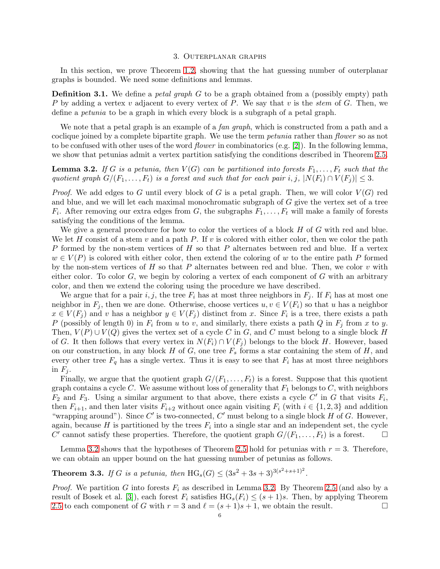#### 3. Outerplanar graphs

<span id="page-5-0"></span>In this section, we prove Theorem [1.2,](#page-1-1) showing that the hat guessing number of outerplanar graphs is bounded. We need some definitions and lemmas.

**Definition 3.1.** We define a *petal graph*  $G$  to be a graph obtained from a (possibly empty) path P by adding a vertex v adjacent to every vertex of P. We say that v is the stem of G. Then, we define a petunia to be a graph in which every block is a subgraph of a petal graph.

We note that a petal graph is an example of a *fan graph*, which is constructed from a path and a coclique joined by a complete bipartite graph. We use the term *petunia* rather than *flower* so as not to be confused with other uses of the word *flower* in combinatorics (e.g. [\[2\]](#page-12-18)). In the following lemma, we show that petunias admit a vertex partition satisfying the conditions described in Theorem [2.5.](#page-3-1)

<span id="page-5-1"></span>**Lemma 3.2.** If G is a petunia, then  $V(G)$  can be partitioned into forests  $F_1, \ldots, F_t$  such that the quotient graph  $G/(F_1, \ldots, F_t)$  is a forest and such that for each pair i, j,  $|N(F_i) \cap V(F_i)| \leq 3$ .

*Proof.* We add edges to G until every block of G is a petal graph. Then, we will color  $V(G)$  red and blue, and we will let each maximal monochromatic subgraph of G give the vertex set of a tree  $F_i$ . After removing our extra edges from G, the subgraphs  $F_1, \ldots, F_t$  will make a family of forests satisfying the conditions of the lemma.

We give a general procedure for how to color the vertices of a block  $H$  of  $G$  with red and blue. We let H consist of a stem v and a path P. If v is colored with either color, then we color the path P formed by the non-stem vertices of  $H$  so that  $P$  alternates between red and blue. If a vertex  $w \in V(P)$  is colored with either color, then extend the coloring of w to the entire path P formed by the non-stem vertices of H so that P alternates between red and blue. Then, we color v with either color. To color  $G$ , we begin by coloring a vertex of each component of  $G$  with an arbitrary color, and then we extend the coloring using the procedure we have described.

We argue that for a pair i, j, the tree  $F_i$  has at most three neighbors in  $F_i$ . If  $F_i$  has at most one neighbor in  $F_j$ , then we are done. Otherwise, choose vertices  $u, v \in V(F_i)$  so that u has a neighbor  $x \in V(F_j)$  and v has a neighbor  $y \in V(F_j)$  distinct from x. Since  $F_i$  is a tree, there exists a path P (possibly of length 0) in  $F_i$  from u to v, and similarly, there exists a path Q in  $F_j$  from x to y. Then,  $V(P) \cup V(Q)$  gives the vertex set of a cycle C in G, and C must belong to a single block H of G. It then follows that every vertex in  $N(F_i) \cap V(F_j)$  belongs to the block H. However, based on our construction, in any block  $H$  of  $G$ , one tree  $F_s$  forms a star containing the stem of  $H$ , and every other tree  $F_q$  has a single vertex. Thus it is easy to see that  $F_i$  has at most three neighbors in  $F_j$ .

Finally, we argue that the quotient graph  $G/(F_1, \ldots, F_t)$  is a forest. Suppose that this quotient graph contains a cycle C. We assume without loss of generality that  $F_1$  belongs to C, with neighbors  $\overline{F_2}$  and  $F_3$ . Using a similar argument to that above, there exists a cycle  $\overline{C'}$  in  $G$  that visits  $F_i$ , then  $F_{i+1}$ , and then later visits  $F_{i+2}$  without once again visiting  $F_i$  (with  $i \in \{1, 2, 3\}$  and addition "wrapping around"). Since  $C'$  is two-connected,  $C'$  must belong to a single block  $H$  of  $G$ . However, again, because H is partitioned by the trees  $F_i$  into a single star and an independent set, the cycle  $C'$  cannot satisfy these properties. Therefore, the quotient graph  $G/(F_1, \ldots, F_t)$  is a forest.

Lemma [3.2](#page-5-1) shows that the hypotheses of Theorem [2.5](#page-3-1) hold for petunias with  $r = 3$ . Therefore, we can obtain an upper bound on the hat guessing number of petunias as follows.

<span id="page-5-2"></span>**Theorem 3.3.** If G is a petunia, then  $HG_s(G) \leq (3s^2 + 3s + 3)^{3(s^2 + s + 1)^2}$ .

*Proof.* We partition G into forests  $F_i$  as described in Lemma [3.2.](#page-5-1) By Theorem [2.5](#page-3-1) (and also by a result of Bosek et al. [\[3\]](#page-12-9)), each forest  $F_i$  satisfies  $HG_s(F_i) \leq (s+1)s$ . Then, by applying Theorem [2.5](#page-3-1) to each component of G with  $r = 3$  and  $\ell = (s + 1)s + 1$ , we obtain the result.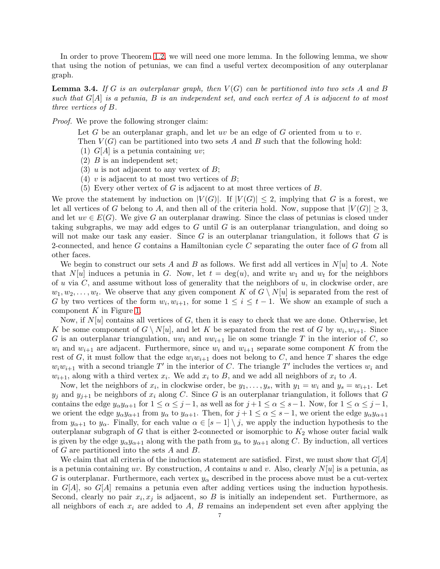In order to prove Theorem [1.2,](#page-1-1) we will need one more lemma. In the following lemma, we show that using the notion of petunias, we can find a useful vertex decomposition of any outerplanar graph.

<span id="page-6-0"></span>**Lemma 3.4.** If G is an outerplanar graph, then  $V(G)$  can be partitioned into two sets A and B such that  $G[A]$  is a petunia, B is an independent set, and each vertex of A is adjacent to at most three vertices of B.

Proof. We prove the following stronger claim:

Let G be an outerplanar graph, and let uv be an edge of G oriented from u to v.

- Then  $V(G)$  can be partitioned into two sets A and B such that the following hold:
- (1)  $G[A]$  is a petunia containing uv;
- <span id="page-6-1"></span> $(2)$  *B* is an independent set;
- <span id="page-6-3"></span>(3) u is not adjacent to any vertex of  $B$ ;
- (4) v is adjacent to at most two vertices of  $B$ ;
- (5) Every other vertex of G is adjacent to at most three vertices of  $B$ .

<span id="page-6-2"></span>We prove the statement by induction on  $|V(G)|$ . If  $|V(G)| \leq 2$ , implying that G is a forest, we let all vertices of G belong to A, and then all of the criteria hold. Now, suppose that  $|V(G)| \geq 3$ , and let  $uv \in E(G)$ . We give G an outerplanar drawing. Since the class of petunias is closed under taking subgraphs, we may add edges to  $G$  until  $G$  is an outerplanar triangulation, and doing so will not make our task any easier. Since  $G$  is an outerplanar triangulation, it follows that  $G$  is 2-connected, and hence G contains a Hamiltonian cycle  $C$  separating the outer face of  $G$  from all other faces.

We begin to construct our sets A and B as follows. We first add all vertices in  $N[u]$  to A. Note that  $N[u]$  induces a petunia in G. Now, let  $t = \deg(u)$ , and write  $w_1$  and  $w_t$  for the neighbors of u via  $C$ , and assume without loss of generality that the neighbors of  $u$ , in clockwise order, are  $w_1, w_2, \ldots, w_t$ . We observe that any given component K of  $G \setminus N[u]$  is separated from the rest of G by two vertices of the form  $w_i, w_{i+1}$ , for some  $1 \leq i \leq t-1$ . We show an example of such a component  $K$  in Figure [1.](#page-7-1)

Now, if  $N[u]$  contains all vertices of G, then it is easy to check that we are done. Otherwise, let K be some component of  $G \setminus N[u]$ , and let K be separated from the rest of G by  $w_i, w_{i+1}$ . Since G is an outerplanar triangulation,  $uw_i$  and  $uw_{i+1}$  lie on some triangle T in the interior of C, so  $w_i$  and  $w_{i+1}$  are adjacent. Furthermore, since  $w_i$  and  $w_{i+1}$  separate some component K from the rest of G, it must follow that the edge  $w_iw_{i+1}$  does not belong to C, and hence T shares the edge  $w_iw_{i+1}$  with a second triangle T' in the interior of C. The triangle T' includes the vertices  $w_i$  and  $w_{i+1}$ , along with a third vertex  $x_i$ . We add  $x_i$  to B, and we add all neighbors of  $x_i$  to A.

Now, let the neighbors of  $x_i$ , in clockwise order, be  $y_1, \ldots, y_s$ , with  $y_1 = w_i$  and  $y_s = w_{i+1}$ . Let  $y_j$  and  $y_{j+1}$  be neighbors of  $x_i$  along C. Since G is an outerplanar triangulation, it follows that G contains the edge  $y_{\alpha}y_{\alpha+1}$  for  $1 \leq \alpha \leq j-1$ , as well as for  $j+1 \leq \alpha \leq s-1$ . Now, for  $1 \leq \alpha \leq j-1$ , we orient the edge  $y_{\alpha}y_{\alpha+1}$  from  $y_{\alpha}$  to  $y_{\alpha+1}$ . Then, for  $j+1 \leq \alpha \leq s-1$ , we orient the edge  $y_{\alpha}y_{\alpha+1}$ from  $y_{\alpha+1}$  to  $y_\alpha$ . Finally, for each value  $\alpha \in [s-1] \setminus j$ , we apply the induction hypothesis to the outerplanar subgraph of G that is either 2-connected or isomorphic to  $K_2$  whose outer facial walk is given by the edge  $y_{\alpha}y_{\alpha+1}$  along with the path from  $y_{\alpha}$  to  $y_{\alpha+1}$  along C. By induction, all vertices of G are partitioned into the sets A and B.

We claim that all criteria of the induction statement are satisfied. First, we must show that  $G[A]$ is a petunia containing uv. By construction, A contains u and v. Also, clearly  $N[u]$  is a petunia, as G is outerplanar. Furthermore, each vertex  $y_{\alpha}$  described in the process above must be a cut-vertex in  $G[A]$ , so  $G[A]$  remains a petunia even after adding vertices using the induction hypothesis. Second, clearly no pair  $x_i, x_j$  is adjacent, so B is initially an independent set. Furthermore, as all neighbors of each  $x_i$  are added to  $A$ ,  $B$  remains an independent set even after applying the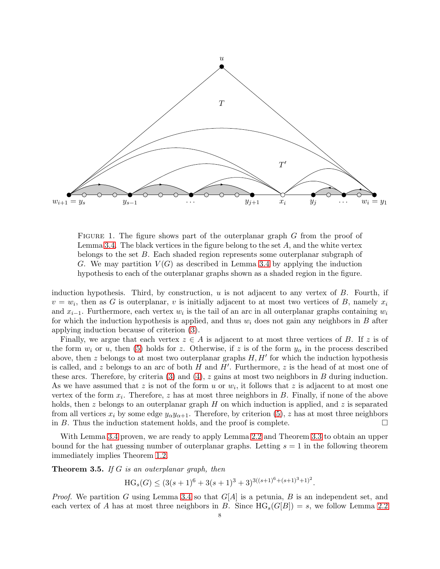

<span id="page-7-1"></span>FIGURE 1. The figure shows part of the outerplanar graph G from the proof of Lemma [3.4.](#page-6-0) The black vertices in the figure belong to the set  $A$ , and the white vertex belongs to the set B. Each shaded region represents some outerplanar subgraph of G. We may partition  $V(G)$  as described in Lemma [3.4](#page-6-0) by applying the induction hypothesis to each of the outerplanar graphs shown as a shaded region in the figure.

induction hypothesis. Third, by construction,  $u$  is not adjacent to any vertex of  $B$ . Fourth, if  $v = w_i$ , then as G is outerplanar, v is initially adjacent to at most two vertices of B, namely  $x_i$ and  $x_{i-1}$ . Furthermore, each vertex  $w_i$  is the tail of an arc in all outerplanar graphs containing  $w_i$ for which the induction hypothesis is applied, and thus  $w_i$  does not gain any neighbors in B after applying induction because of criterion [\(3\)](#page-6-1).

Finally, we argue that each vertex  $z \in A$  is adjacent to at most three vertices of B. If z is of the form  $w_i$  or u, then [\(5\)](#page-6-2) holds for z. Otherwise, if z is of the form  $y_\alpha$  in the process described above, then z belongs to at most two outerplanar graphs  $H, H'$  for which the induction hypothesis is called, and z belongs to an arc of both  $H$  and  $H'$ . Furthermore, z is the head of at most one of these arcs. Therefore, by criteria  $(3)$  and  $(4)$ , z gains at most two neighbors in B during induction. As we have assumed that z is not of the form u or  $w_i$ , it follows that z is adjacent to at most one vertex of the form  $x_i$ . Therefore, z has at most three neighbors in  $B$ . Finally, if none of the above holds, then z belongs to an outerplanar graph H on which induction is applied, and z is separated from all vertices  $x_i$  by some edge  $y_{\alpha}y_{\alpha+1}$ . Therefore, by criterion [\(5\)](#page-6-2), z has at most three neighbors in B. Thus the induction statement holds, and the proof is complete.  $\Box$ 

With Lemma [3.4](#page-6-0) proven, we are ready to apply Lemma [2.2](#page-2-1) and Theorem [3.3](#page-5-2) to obtain an upper bound for the hat guessing number of outerplanar graphs. Letting  $s = 1$  in the following theorem immediately implies Theorem [1.2.](#page-1-1)

<span id="page-7-0"></span>**Theorem 3.5.** If  $G$  is an outerplanar graph, then

$$
HG_s(G) \le (3(s+1)^6 + 3(s+1)^3 + 3)^{3((s+1)^6 + (s+1)^3 + 1)^2}.
$$

*Proof.* We partition G using Lemma [3.4](#page-6-0) so that  $G[A]$  is a petunia, B is an independent set, and each vertex of A has at most three neighbors in B. Since  $HG_s(G|B|) = s$ , we follow Lemma [2.2](#page-2-1)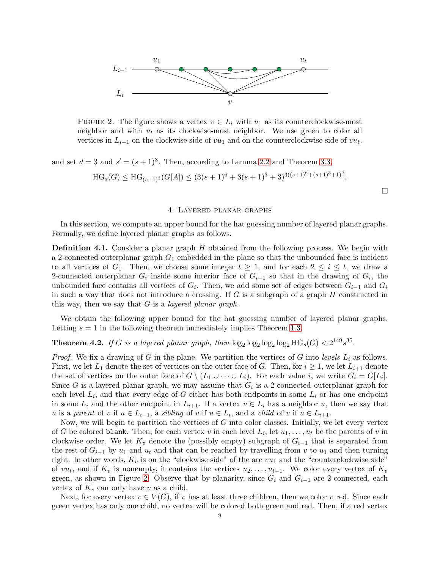

<span id="page-8-1"></span>FIGURE 2. The figure shows a vertex  $v \in L_i$  with  $u_1$  as its counterclockwise-most neighbor and with  $u_t$  as its clockwise-most neighbor. We use green to color all vertices in  $L_{i-1}$  on the clockwise side of  $vu_1$  and on the counterclockwise side of  $vu_t$ .

and set  $d = 3$  and  $s' = (s + 1)^3$ . Then, according to Lemma [2.2](#page-2-1) and Theorem [3.3,](#page-5-2)

$$
HG_s(G) \le HG_{(s+1)^3}(G[A]) \le (3(s+1)^6 + 3(s+1)^3 + 3)^{3((s+1)^6 + (s+1)^3 + 1)^2}.
$$

#### 4. Layered planar graphs

<span id="page-8-0"></span>In this section, we compute an upper bound for the hat guessing number of layered planar graphs. Formally, we define layered planar graphs as follows.

**Definition 4.1.** Consider a planar graph  $H$  obtained from the following process. We begin with a 2-connected outerplanar graph  $G_1$  embedded in the plane so that the unbounded face is incident to all vertices of  $G_1$ . Then, we choose some integer  $t \geq 1$ , and for each  $2 \leq i \leq t$ , we draw a 2-connected outerplanar  $G_i$  inside some interior face of  $G_{i-1}$  so that in the drawing of  $G_i$ , the unbounded face contains all vertices of  $G_i$ . Then, we add some set of edges between  $G_{i-1}$  and  $G_i$ in such a way that does not introduce a crossing. If  $G$  is a subgraph of a graph  $H$  constructed in this way, then we say that  $G$  is a *layered planar graph*.

We obtain the following upper bound for the hat guessing number of layered planar graphs. Letting  $s = 1$  in the following theorem immediately implies Theorem [1.3.](#page-1-2)

# <span id="page-8-2"></span>**Theorem 4.2.** If G is a layered planar graph, then  $\log_2 \log_2 \log_2 \log_2 H G_s(G) < 2^{149} s^{35}$ .

*Proof.* We fix a drawing of G in the plane. We partition the vertices of G into levels  $L_i$  as follows. First, we let  $L_1$  denote the set of vertices on the outer face of G. Then, for  $i \geq 1$ , we let  $L_{i+1}$  denote the set of vertices on the outer face of  $G \setminus (L_1 \cup \cdots \cup L_i)$ . For each value i, we write  $G_i = G[L_i]$ . Since G is a layered planar graph, we may assume that  $G_i$  is a 2-connected outerplanar graph for each level  $L_i$ , and that every edge of G either has both endpoints in some  $L_i$  or has one endpoint in some  $L_i$  and the other endpoint in  $L_{i+1}$ . If a vertex  $v \in L_i$  has a neighbor u, then we say that u is a parent of v if  $u \in L_{i-1}$ , a sibling of v if  $u \in L_i$ , and a child of v if  $u \in L_{i+1}$ .

Now, we will begin to partition the vertices of  $G$  into color classes. Initially, we let every vertex of G be colored blank. Then, for each vertex v in each level  $L_i$ , let  $u_1, \ldots, u_t$  be the parents of v in clockwise order. We let  $K_v$  denote the (possibly empty) subgraph of  $G_{i-1}$  that is separated from the rest of  $G_{i-1}$  by  $u_1$  and  $u_t$  and that can be reached by travelling from v to  $u_1$  and then turning right. In other words,  $K_v$  is on the "clockwise side" of the arc  $vu_1$  and the "counterclockwise side" of  $vu_t$ , and if  $K_v$  is nonempty, it contains the vertices  $u_2, \ldots, u_{t-1}$ . We color every vertex of  $K_v$ green, as shown in Figure [2.](#page-8-1) Observe that by planarity, since  $G_i$  and  $G_{i-1}$  are 2-connected, each vertex of  $K_v$  can only have v as a child.

Next, for every vertex  $v \in V(G)$ , if v has at least three children, then we color v red. Since each green vertex has only one child, no vertex will be colored both green and red. Then, if a red vertex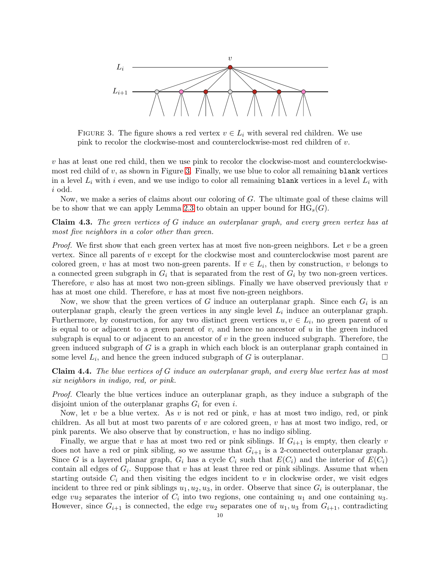

<span id="page-9-0"></span>FIGURE 3. The figure shows a red vertex  $v \in L_i$  with several red children. We use pink to recolor the clockwise-most and counterclockwise-most red children of v.

v has at least one red child, then we use pink to recolor the clockwise-most and counterclockwisemost red child of  $v$ , as shown in Figure [3.](#page-9-0) Finally, we use blue to color all remaining blank vertices in a level  $L_i$  with i even, and we use indigo to color all remaining blank vertices in a level  $L_i$  with i odd.

Now, we make a series of claims about our coloring of G. The ultimate goal of these claims will be to show that we can apply Lemma [2.3](#page-2-2) to obtain an upper bound for  $HG_s(G)$ .

Claim 4.3. The green vertices of G induce an outerplanar graph, and every green vertex has at most five neighbors in a color other than green.

*Proof.* We first show that each green vertex has at most five non-green neighbors. Let  $v$  be a green vertex. Since all parents of  $v$  except for the clockwise most and counterclockwise most parent are colored green, v has at most two non-green parents. If  $v \in L_i$ , then by construction, v belongs to a connected green subgraph in  $G_i$  that is separated from the rest of  $G_i$  by two non-green vertices. Therefore,  $v$  also has at most two non-green siblings. Finally we have observed previously that  $v$ has at most one child. Therefore,  $v$  has at most five non-green neighbors.

Now, we show that the green vertices of G induce an outerplanar graph. Since each  $G_i$  is an outerplanar graph, clearly the green vertices in any single level  $L_i$  induce an outerplanar graph. Furthermore, by construction, for any two distinct green vertices  $u, v \in L_i$ , no green parent of u is equal to or adjacent to a green parent of  $v$ , and hence no ancestor of  $u$  in the green induced subgraph is equal to or adjacent to an ancestor of  $v$  in the green induced subgraph. Therefore, the green induced subgraph of  $G$  is a graph in which each block is an outerplanar graph contained in some level  $L_i$ , and hence the green induced subgraph of G is outerplanar.

<span id="page-9-1"></span>Claim 4.4. The blue vertices of G induce an outerplanar graph, and every blue vertex has at most six neighbors in indigo, red, or pink.

Proof. Clearly the blue vertices induce an outerplanar graph, as they induce a subgraph of the disjoint union of the outerplanar graphs  $G_i$  for even i.

Now, let v be a blue vertex. As v is not red or pink, v has at most two indigo, red, or pink children. As all but at most two parents of  $v$  are colored green,  $v$  has at most two indigo, red, or pink parents. We also observe that by construction,  $v$  has no indigo sibling.

Finally, we argue that v has at most two red or pink siblings. If  $G_{i+1}$  is empty, then clearly v does not have a red or pink sibling, so we assume that  $G_{i+1}$  is a 2-connected outerplanar graph. Since G is a layered planar graph,  $G_i$  has a cycle  $C_i$  such that  $E(C_i)$  and the interior of  $E(C_i)$ contain all edges of  $G_i$ . Suppose that v has at least three red or pink siblings. Assume that when starting outside  $C_i$  and then visiting the edges incident to v in clockwise order, we visit edges incident to three red or pink siblings  $u_1, u_2, u_3$ , in order. Observe that since  $G_i$  is outerplanar, the edge  $vu_2$  separates the interior of  $C_i$  into two regions, one containing  $u_1$  and one containing  $u_3$ . However, since  $G_{i+1}$  is connected, the edge  $vu_2$  separates one of  $u_1, u_3$  from  $G_{i+1}$ , contradicting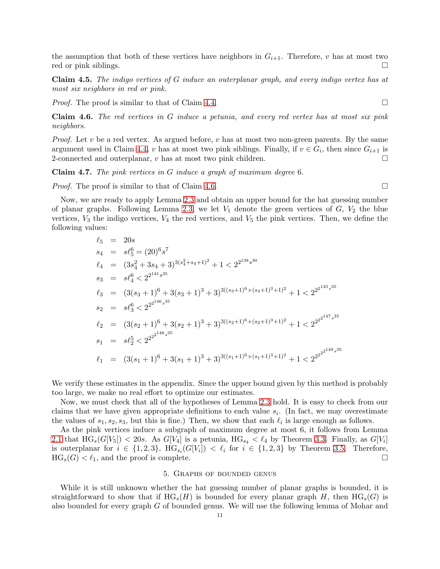the assumption that both of these vertices have neighbors in  $G_{i+1}$ . Therefore, v has at most two red or pink siblings.

Claim 4.5. The indigo vertices of G induce an outerplanar graph, and every indigo vertex has at most six neighbors in red or pink.

*Proof.* The proof is similar to that of Claim [4.4.](#page-9-1)

<span id="page-10-1"></span>Claim 4.6. The red vertices in G induce a petunia, and every red vertex has at most six pink neighbors.

*Proof.* Let v be a red vertex. As argued before, v has at most two non-green parents. By the same argument used in Claim [4.4,](#page-9-1) v has at most two pink siblings. Finally, if  $v \in G_i$ , then since  $G_{i+1}$  is 2-connected and outerplanar, v has at most two pink children.

**Claim 4.7.** The pink vertices in G induce a graph of maximum degree 6.

*Proof.* The proof is similar to that of Claim [4.6.](#page-10-1)

Now, we are ready to apply Lemma [2.3](#page-2-2) and obtain an upper bound for the hat guessing number of planar graphs. Following Lemma [2.3,](#page-2-2) we let  $V_1$  denote the green vertices of  $G$ ,  $V_2$  the blue vertices,  $V_3$  the indigo vertices,  $V_4$  the red vertices, and  $V_5$  the pink vertices. Then, we define the following values:

$$
\ell_5 = 20s
$$
\n
$$
s_4 = s\ell_5^6 = (20)^6 s^7
$$
\n
$$
\ell_4 = (3s_4^2 + 3s_4 + 3)^{3(s_4^2 + s_4 + 1)^2} + 1 < 2^{2^{138} s^{30}}
$$
\n
$$
s_3 = s\ell_4^6 < 2^{2^{141} s^{35}}
$$
\n
$$
\ell_3 = (3(s_3 + 1)^6 + 3(s_3 + 1)^3 + 3)^{3((s_3 + 1)^6 + (s_3 + 1)^3 + 1)^2} + 1 < 2^{2^{145} s^{35}}
$$
\n
$$
s_2 = s\ell_3^6 < 2^{2^{2^{146} s^{35}}}
$$
\n
$$
\ell_2 = (3(s_2 + 1)^6 + 3(s_2 + 1)^3 + 3)^{3((s_2 + 1)^6 + (s_2 + 1)^3 + 1)^2} + 1 < 2^{2^{2^{147} s^{35}}}
$$
\n
$$
s_1 = s\ell_2^5 < 2^{2^{2^{148} s^{35}}}
$$
\n
$$
\ell_1 = (3(s_1 + 1)^6 + 3(s_1 + 1)^3 + 3)^{3((s_1 + 1)^6 + (s_1 + 1)^3 + 1)^2} + 1 < 2^{2^{2^{2^{149} s^{35}}}}
$$

We verify these estimates in the appendix. Since the upper bound given by this method is probably too large, we make no real effort to optimize our estimates.

Now, we must check that all of the hypotheses of Lemma [2.3](#page-2-2) hold. It is easy to check from our claims that we have given appropriate definitions to each value  $s_i$ . (In fact, we may overestimate the values of  $s_1, s_2, s_3$ , but this is fine.) Then, we show that each  $\ell_i$  is large enough as follows.

As the pink vertices induce a subgraph of maximum degree at most 6, it follows from Lemma [2.1](#page-2-3) that  $HG_s(G[V_5]) < 20s$ . As  $G[V_4]$  is a petunia,  $HG_{s_4} < l_4$  by Theorem [3.3.](#page-5-2) Finally, as  $G[V_i]$ is outerplanar for  $i \in \{1,2,3\}$ ,  $HG_{s_i}(G[V_i]) < l_i$  for  $i \in \{1,2,3\}$  by Theorem [3.5.](#page-7-0) Therefore,  $HG_s(G) < l_1$ , and the proof is complete.

## 5. Graphs of bounded genus

<span id="page-10-0"></span>While it is still unknown whether the hat guessing number of planar graphs is bounded, it is straightforward to show that if  $HG_s(H)$  is bounded for every planar graph H, then  $HG_s(G)$  is also bounded for every graph G of bounded genus. We will use the following lemma of Mohar and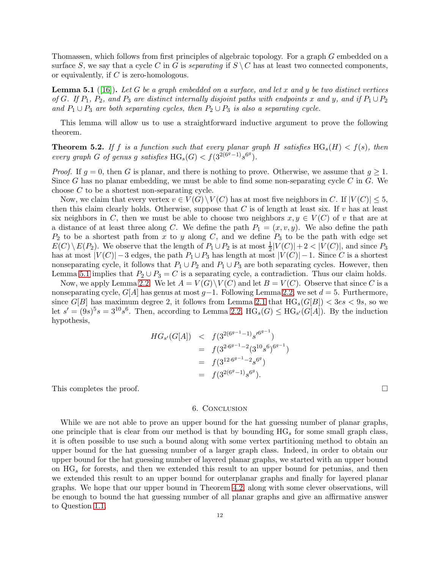Thomassen, which follows from first principles of algebraic topology. For a graph G embedded on a surface S, we say that a cycle C in G is *separating* if  $S \ C$  has at least two connected components, or equivalently, if C is zero-homologous.

<span id="page-11-0"></span>**Lemma 5.1** ([\[16\]](#page-12-19)). Let G be a graph embedded on a surface, and let x and y be two distinct vertices of G. If  $P_1$ ,  $P_2$ , and  $P_3$  are distinct internally disjoint paths with endpoints x and y, and if  $P_1 \cup P_2$ and  $P_1 \cup P_3$  are both separating cycles, then  $P_2 \cup P_3$  is also a separating cycle.

This lemma will allow us to use a straightforward inductive argument to prove the following theorem.

<span id="page-11-1"></span>**Theorem 5.2.** If f is a function such that every planar graph H satisfies  $HG_s(H) < f(s)$ , then every graph G of genus g satisfies  $HG_s(G) < f(3^{2(6^g-1)}s^{6^g}).$ 

*Proof.* If  $g = 0$ , then G is planar, and there is nothing to prove. Otherwise, we assume that  $g \geq 1$ . Since G has no planar embedding, we must be able to find some non-separating cycle C in G. We choose C to be a shortest non-separating cycle.

Now, we claim that every vertex  $v \in V(G) \setminus V(C)$  has at most five neighbors in C. If  $|V(C)| \leq 5$ , then this claim clearly holds. Otherwise, suppose that  $C$  is of length at least six. If  $v$  has at least six neighbors in C, then we must be able to choose two neighbors  $x, y \in V(C)$  of v that are at a distance of at least three along C. We define the path  $P_1 = (x, v, y)$ . We also define the path  $P_2$  to be a shortest path from x to y along C, and we define  $P_3$  to be the path with edge set  $E(C) \setminus E(P_2)$ . We observe that the length of  $P_1 \cup P_2$  is at most  $\frac{1}{2}|V(C)|+2<|V(C)|$ , and since  $P_3$ has at most  $|V(C)|-3$  edges, the path  $P_1 \cup P_3$  has length at most  $|V(C)|-1$ . Since C is a shortest nonseparating cycle, it follows that  $P_1 \cup P_2$  and  $P_1 \cup P_3$  are both separating cycles. However, then Lemma [5.1](#page-11-0) implies that  $P_2 \cup P_3 = C$  is a separating cycle, a contradiction. Thus our claim holds.

Now, we apply Lemma [2.2.](#page-2-1) We let  $A = V(G) \setminus V(C)$  and let  $B = V(C)$ . Observe that since C is a nonseparating cycle,  $G[A]$  has genus at most  $g-1$ . Following Lemma [2.2,](#page-2-1) we set  $d=5$ . Furthermore, since  $G[B]$  has maximum degree 2, it follows from Lemma [2.1](#page-2-3) that  $HG_s(G[B]) < 3es < 9s$ , so we let  $s' = (9s)^5 s = 3^{10} s^6$ . Then, according to Lemma [2.2,](#page-2-1)  $HG_s(G) \leq HG_{s'}(G[A])$ . By the induction hypothesis,

$$
HG_{s'}(G[A]) \leq f(3^{2(6^{g-1}-1)}s'^{6^{g-1}})
$$
  
=  $f(3^{2 \cdot 6^{g-1}-2}(3^{10}s^6)^{6^{g-1}})$   
=  $f(3^{12 \cdot 6^{g-1}-2}s^{6^g})$   
=  $f(3^{2(6^g-1)}s^{6^g}).$ 

This completes the proof.  $\square$ 

#### 6. Conclusion

While we are not able to prove an upper bound for the hat guessing number of planar graphs, one principle that is clear from our method is that by bounding  $HG_s$  for some small graph class, it is often possible to use such a bound along with some vertex partitioning method to obtain an upper bound for the hat guessing number of a larger graph class. Indeed, in order to obtain our upper bound for the hat guessing number of layered planar graphs, we started with an upper bound on  $HG_s$  for forests, and then we extended this result to an upper bound for petunias, and then we extended this result to an upper bound for outerplanar graphs and finally for layered planar graphs. We hope that our upper bound in Theorem [4.2,](#page-8-2) along with some clever observations, will be enough to bound the hat guessing number of all planar graphs and give an affirmative answer to Question [1.1.](#page-1-0)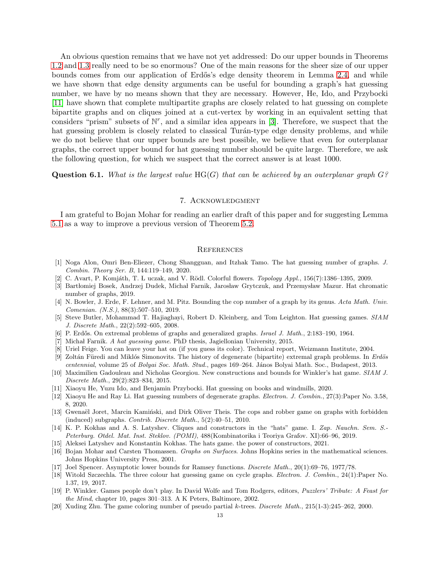An obvious question remains that we have not yet addressed: Do our upper bounds in Theorems [1.2](#page-1-1) and [1.3](#page-1-2) really need to be so enormous? One of the main reasons for the sheer size of our upper bounds comes from our application of Erdős's edge density theorem in Lemma [2.4,](#page-3-0) and while we have shown that edge density arguments can be useful for bounding a graph's hat guessing number, we have by no means shown that they are necessary. However, He, Ido, and Przybocki [\[11\]](#page-12-14) have shown that complete multipartite graphs are closely related to hat guessing on complete bipartite graphs and on cliques joined at a cut-vertex by working in an equivalent setting that considers "prism" subsets of  $\mathbb{N}^r$ , and a similar idea appears in [\[3\]](#page-12-9). Therefore, we suspect that the hat guessing problem is closely related to classical Turán-type edge density problems, and while we do not believe that our upper bounds are best possible, we believe that even for outerplanar graphs, the correct upper bound for hat guessing number should be quite large. Therefore, we ask the following question, for which we suspect that the correct answer is at least 1000.

**Question 6.1.** What is the largest value  $HG(G)$  that can be achieved by an outerplanar graph  $G$ ?

## 7. Acknowledgment

I am grateful to Bojan Mohar for reading an earlier draft of this paper and for suggesting Lemma [5.1](#page-11-0) as a way to improve a previous version of Theorem [5.2.](#page-11-1)

#### **REFERENCES**

- <span id="page-12-12"></span>[1] Noga Alon, Omri Ben-Eliezer, Chong Shangguan, and Itzhak Tamo. The hat guessing number of graphs. *J. Combin. Theory Ser. B*, 144:119–149, 2020.
- <span id="page-12-18"></span><span id="page-12-9"></span>[2] C. Avart, P. Komjáth, T. L uczak, and V. Rödl. Colorful flowers. *Topology Appl.*, 156(7):1386–1395, 2009.
- [3] Bartłomiej Bosek, Andrzej Dudek, Michał Farnik, Jarosław Grytczuk, and Przemysław Mazur. Hat chromatic number of graphs, 2019.
- <span id="page-12-6"></span>[4] N. Bowler, J. Erde, F. Lehner, and M. Pitz. Bounding the cop number of a graph by its genus. *Acta Math. Univ. Comenian. (N.S.)*, 88(3):507–510, 2019.
- <span id="page-12-1"></span>[5] Steve Butler, Mohammad T. Hajiaghayi, Robert D. Kleinberg, and Tom Leighton. Hat guessing games. *SIAM J. Discrete Math.*, 22(2):592–605, 2008.
- <span id="page-12-17"></span><span id="page-12-7"></span>[6] P. Erd˝os. On extremal problems of graphs and generalized graphs. *Israel J. Math.*, 2:183–190, 1964.
- <span id="page-12-3"></span>[7] Michał Farnik. *A hat quessing game*. PhD thesis, Jagiellonian University, 2015.
- <span id="page-12-16"></span>[8] Uriel Feige. You can leave your hat on (if you guess its color). Technical report, Weizmann Institute, 2004.
- [9] Zoltán Füredi and Miklós Simonovits. The history of degenerate (bipartite) extremal graph problems. In *Erdös centennial*, volume 25 of *Bolyai Soc. Math. Stud.*, pages 169–264. J´anos Bolyai Math. Soc., Budapest, 2013.
- <span id="page-12-13"></span>[10] Maximilien Gadouleau and Nicholas Georgiou. New constructions and bounds for Winkler's hat game. *SIAM J. Discrete Math.*, 29(2):823–834, 2015.
- <span id="page-12-14"></span><span id="page-12-8"></span>[11] Xiaoyu He, Yuzu Ido, and Benjamin Przybocki. Hat guessing on books and windmills, 2020.
- [12] Xiaoyu He and Ray Li. Hat guessing numbers of degenerate graphs. *Electron. J. Combin.*, 27(3):Paper No. 3.58, 8, 2020.
- <span id="page-12-5"></span>[13] Gwenaël Joret, Marcin Kaminski, and Dirk Oliver Theis. The cops and robber game on graphs with forbidden (induced) subgraphs. *Contrib. Discrete Math.*, 5(2):40–51, 2010.
- <span id="page-12-2"></span>[14] K. P. Kokhas and A. S. Latyshev. Cliques and constructors in the "hats" game. I. *Zap. Nauchn. Sem. S.- Peterburg. Otdel. Mat. Inst. Steklov. (POMI)*, 488(Kombinatorika i Teoriya Grafov. XI):66–96, 2019.
- <span id="page-12-19"></span><span id="page-12-10"></span>[15] Aleksei Latyshev and Konstantin Kokhas. The hats game. the power of constructors, 2021.
- [16] Bojan Mohar and Carsten Thomassen. *Graphs on Surfaces*. Johns Hopkins series in the mathematical sciences. Johns Hopkins University Press, 2001.
- <span id="page-12-15"></span><span id="page-12-11"></span>[17] Joel Spencer. Asymptotic lower bounds for Ramsey functions. *Discrete Math.*, 20(1):69–76, 1977/78.
- [18] Witold Szczechla. The three colour hat guessing game on cycle graphs. *Electron. J. Combin.*, 24(1):Paper No. 1.37, 19, 2017.
- <span id="page-12-0"></span>[19] P. Winkler. Games people don't play. In David Wolfe and Tom Rodgers, editors, *Puzzlers' Tribute: A Feast for the Mind*, chapter 10, pages 301–313. A K Peters, Baltimore, 2002.
- <span id="page-12-4"></span>[20] Xuding Zhu. The game coloring number of pseudo partial k-trees. *Discrete Math.*, 215(1-3):245–262, 2000.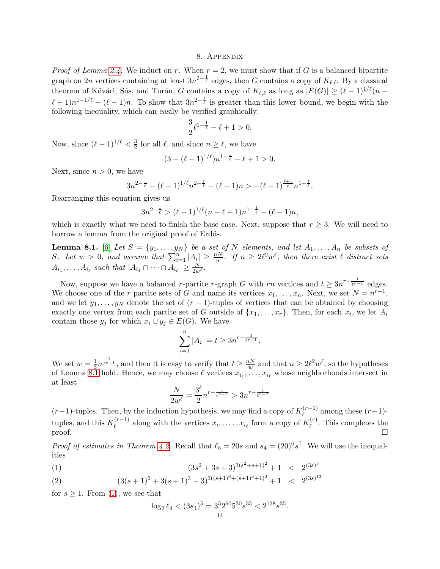## 8. Appendix

*Proof of Lemma [2.4.](#page-3-0)* We induct on r. When  $r = 2$ , we must show that if G is a balanced bipartite graph on 2n vertices containing at least  $3n^{2-\frac{1}{\ell}}$  edges, then G contains a copy of  $K_{\ell,\ell}$ . By a classical theorem of Kővári, Sós, and Turán, G contains a copy of  $K_{\ell,\ell}$  as long as  $|E(G)| \geq (\ell-1)^{1/\ell}(n-\ell)$  $(\ell+1)n^{1-1/\ell} + (\ell-1)n$ . To show that  $3n^{2-\frac{1}{\ell}}$  is greater than this lower bound, we begin with the following inequality, which can easily be verified graphically:

$$
\frac{3}{2}\ell^{1-\frac{1}{\ell}} - \ell + 1 > 0.
$$

Now, since  $(\ell-1)^{1/\ell} < \frac{3}{2}$  $\frac{3}{2}$  for all  $\ell$ , and since  $n \geq \ell$ , we have

$$
(3 - (\ell - 1)^{1/\ell})n^{1 - \frac{1}{\ell}} - \ell + 1 > 0.
$$

Next, since  $n > 0$ , we have

$$
3n^{2-\frac{1}{\ell}} - (\ell-1)^{1/\ell}n^{2-\frac{1}{\ell}} - (\ell-1)n > -(\ell-1)^{\frac{\ell+1}{\ell}}n^{1-\frac{1}{\ell}}.
$$

Rearranging this equation gives us

$$
3n^{2-\frac{1}{\ell}} > (\ell-1)^{1/\ell}(n-\ell+1)n^{1-\frac{1}{\ell}} - (\ell-1)n,
$$

which is exactly what we need to finish the base case. Next, suppose that  $r \geq 3$ . We will need to borrow a lemma from the original proof of Erdős.

<span id="page-13-0"></span>**Lemma 8.1.** [\[6\]](#page-12-17) Let  $S = \{y_1, \ldots, y_N\}$  be a set of N elements, and let  $A_1, \ldots, A_n$  be subsets of S. Let  $w > 0$ , and assume that  $\sum_{i=1}^{n} |A_i| \geq \frac{nN}{w}$ . If  $n \geq 2\ell^2 w^{\ell}$ , then there exist  $\ell$  distinct sets  $A_{i_1}, \ldots, A_{i_\ell}$  such that  $|A_{i_1} \cap \cdots \cap A_{i_\ell}| \geq \frac{N}{2w^\ell}$ .

Now, suppose we have a balanced r-partite r-graph G with rn vertices and  $t \geq 3n^{r-\frac{1}{\ell^{r-1}}}$  edges. We choose one of the r partite sets of  $G$  and name its vertices  $x_1, \ldots, x_n$ . Next, we set  $N = n^{r-1}$ , and we let  $y_1, \ldots, y_N$  denote the set of  $(r-1)$ -tuples of vertices that can be obtained by choosing exactly one vertex from each partite set of G outside of  $\{x_1, \ldots, x_r\}$ . Then, for each  $x_i$ , we let  $A_i$ contain those  $y_j$  for which  $x_i \cup y_j \in E(G)$ . We have

$$
\sum_{i=1}^{n} |A_i| = t \ge 3n^{r - \frac{1}{\ell^{r-1}}}.
$$

We set  $w=\frac{1}{3}$  $\frac{1}{3}n^{\frac{1}{\ell^{r-1}}}$ , and then it is easy to verify that  $t \geq \frac{nN}{w}$  $\frac{vN}{w}$  and that  $n \geq 2\ell^2 w^{\ell}$ , so the hypotheses of Lemma [8.1](#page-13-0) hold. Hence, we may choose  $\ell$  vertices  $x_{i_1}, \ldots, x_{i_\ell}$  whose neighborhoods intersect in at least

$$
\frac{N}{2w^{\ell}} = \frac{3^{\ell}}{2} n^{r - \frac{1}{\ell^{r-2}}} > 3n^{r - \frac{1}{\ell^{r-2}}}
$$

 $(r-1)$ -tuples. Then, by the induction hypothesis, we may find a copy of  $K_{\ell}^{(r-1)}$  $\ell^{(r-1)}$  among these  $(r-1)$ tuples, and this  $K_{\ell}^{(r-1)}$  $\ell_{\ell}^{(r-1)}$  along with the vertices  $x_{i_1}, \ldots, x_{i_{\ell}}$  form a copy of  $K_{\ell}^{(r)}$  $\ell^{(r)}$ . This completes the proof.  $\Box$ 

*Proof of estimates in Theorem [4.2.](#page-8-2)* Recall that  $\ell_5 = 20s$  and  $s_4 = (20)^6 s^7$ . We will use the inequalities

(1) 
$$
(3s^2 + 3s + 3)^{3(s^2 + s + 1)^2} + 1 < 2^{(3s)^5}
$$

(2) 
$$
(3(s+1)^6+3(s+1)^3+3)^{3((s+1)^6+(s+1)^3+1)^2}+1 < 2^{(3s)^{13}}
$$

for  $s \geq 1$ . From [\(1\)](#page-13-1), we see that

<span id="page-13-1"></span>
$$
\log_2 \ell_4 < (3s_4)^5 = 3^5 2^{60} 5^{30} s^{35} < 2^{138} s^{35}
$$

.